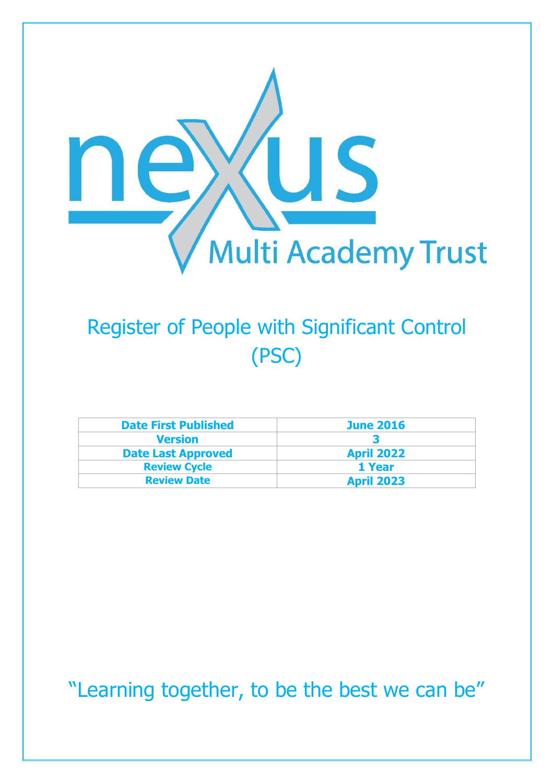

## Register of People with Significant Control (PSC)

| <b>Date First Published</b> | <b>June 2016</b>  |
|-----------------------------|-------------------|
| <b>Version</b>              |                   |
| <b>Date Last Approved</b>   | <b>April 2022</b> |
| <b>Review Cycle</b>         | 1 Year            |
| <b>Review Date</b>          | <b>April 2023</b> |

"Learning together, to be the best we can be"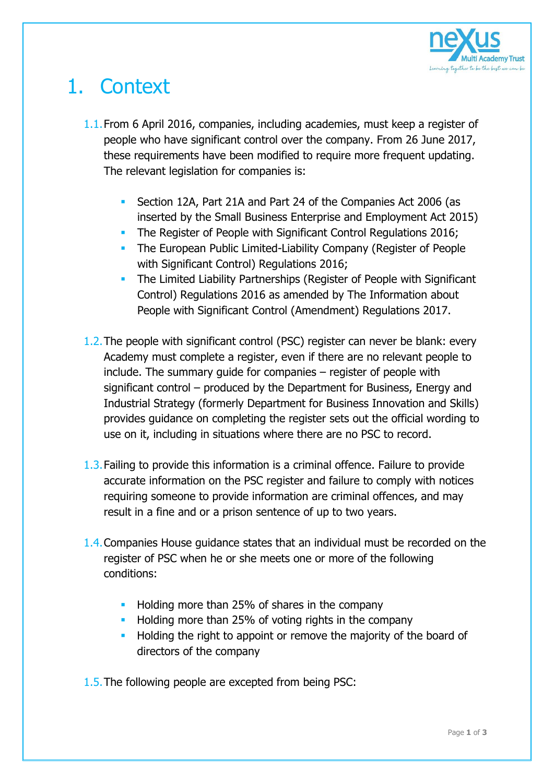

## 1. Context

- 1.1.From 6 April 2016, companies, including academies, must keep a register of people who have significant control over the company. From 26 June 2017, these requirements have been modified to require more frequent updating. The relevant legislation for companies is:
	- Section 12A, Part 21A and Part 24 of the Companies Act 2006 (as inserted by the Small Business Enterprise and Employment Act 2015)
	- The Register of People with Significant Control Regulations 2016;
	- **The European Public Limited-Liability Company (Register of People** with Significant Control) Regulations 2016;
	- **The Limited Liability Partnerships (Register of People with Significant** Control) Regulations 2016 as amended by The Information about People with Significant Control (Amendment) Regulations 2017.
- 1.2.The people with significant control (PSC) register can never be blank: every Academy must complete a register, even if there are no relevant people to include. The summary guide for companies – register of people with significant control – produced by the Department for Business, Energy and Industrial Strategy (formerly Department for Business Innovation and Skills) provides guidance on completing the register sets out the official wording to use on it, including in situations where there are no PSC to record.
- 1.3.Failing to provide this information is a criminal offence. Failure to provide accurate information on the PSC register and failure to comply with notices requiring someone to provide information are criminal offences, and may result in a fine and or a prison sentence of up to two years.
- 1.4.Companies House guidance states that an individual must be recorded on the register of PSC when he or she meets one or more of the following conditions:
	- **Holding more than 25% of shares in the company**
	- **Holding more than 25% of voting rights in the company**
	- **Holding the right to appoint or remove the majority of the board of** directors of the company
- 1.5.The following people are excepted from being PSC: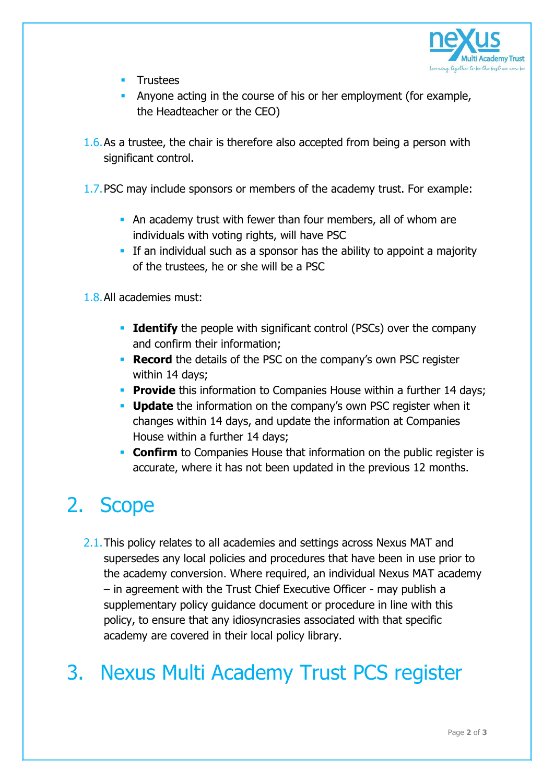

- Trustees
- Anyone acting in the course of his or her employment (for example, the Headteacher or the CEO)
- 1.6.As a trustee, the chair is therefore also accepted from being a person with significant control.
- 1.7.PSC may include sponsors or members of the academy trust. For example:
	- An academy trust with fewer than four members, all of whom are individuals with voting rights, will have PSC
	- If an individual such as a sponsor has the ability to appoint a majority of the trustees, he or she will be a PSC
- 1.8.All academies must:
	- **Identify** the people with significant control (PSCs) over the company and confirm their information;
	- **Record** the details of the PSC on the company's own PSC register within 14 days;
	- **Provide** this information to Companies House within a further 14 days;
	- **Update** the information on the company's own PSC register when it changes within 14 days, and update the information at Companies House within a further 14 days;
	- **Confirm** to Companies House that information on the public register is accurate, where it has not been updated in the previous 12 months.

## 2. Scope

2.1. This policy relates to all academies and settings across Nexus MAT and supersedes any local policies and procedures that have been in use prior to the academy conversion. Where required, an individual Nexus MAT academy – in agreement with the Trust Chief Executive Officer - may publish a supplementary policy guidance document or procedure in line with this policy, to ensure that any idiosyncrasies associated with that specific academy are covered in their local policy library.

## 3. Nexus Multi Academy Trust PCS register